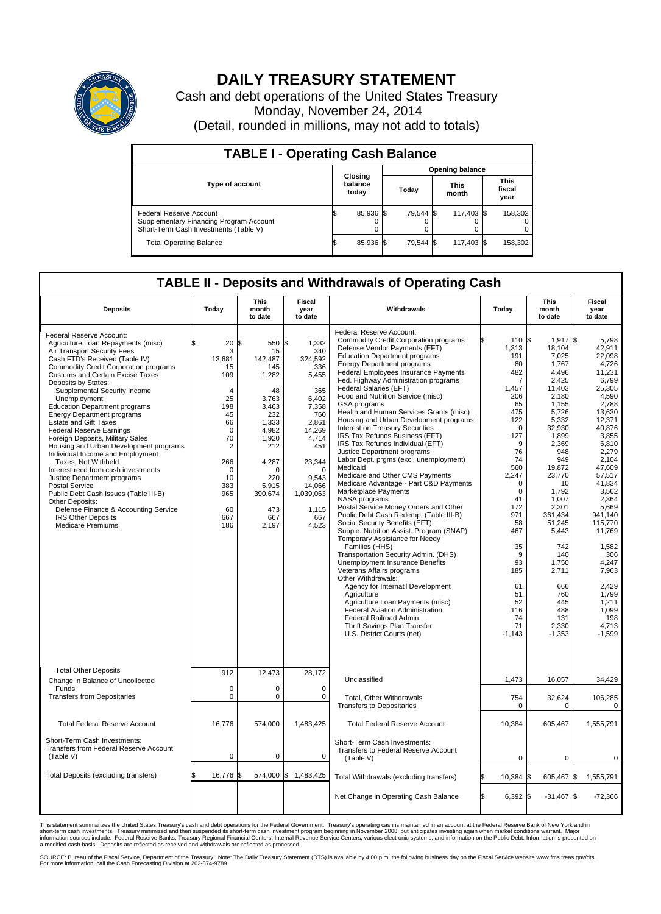

## **DAILY TREASURY STATEMENT**

Cash and debt operations of the United States Treasury Monday, November 24, 2014 (Detail, rounded in millions, may not add to totals)

| <b>TABLE I - Operating Cash Balance</b>                                                                     |    |                             |  |           |                      |            |  |                               |  |
|-------------------------------------------------------------------------------------------------------------|----|-----------------------------|--|-----------|----------------------|------------|--|-------------------------------|--|
| <b>Opening balance</b>                                                                                      |    |                             |  |           |                      |            |  |                               |  |
| <b>Type of account</b>                                                                                      |    | Closing<br>balance<br>today |  | Today     | <b>This</b><br>month |            |  | <b>This</b><br>fiscal<br>year |  |
| Federal Reserve Account<br>Supplementary Financing Program Account<br>Short-Term Cash Investments (Table V) |    | 85,936 \$                   |  | 79.544 \$ |                      | 117,403 \$ |  | 158,302                       |  |
| <b>Total Operating Balance</b>                                                                              | ıъ | 85,936 \$                   |  | 79.544 \$ |                      | 117,403 \$ |  | 158,302                       |  |

## **TABLE II - Deposits and Withdrawals of Operating Cash**

| <b>Deposits</b>                                                                                                                                                                                                                                                                                                                                                                                                                                                                                                                                                                                                                                                                                                                                                                                                                                 | Today                                                                                                                                                            | This<br>month<br>to date                                                                                                                                                            | Fiscal<br>year<br>to date                                                                                                                                                                       | Withdrawals                                                                                                                                                                                                                                                                                                                                                                                                                                                                                                                                                                                                                                                                                                                                                                                                                                                                                                                                                                                                                                                                                                                                                                                                                                                                                                                                         | Today                                                                                                                                                                                                                                                                                 | <b>This</b><br>month<br>to date                                                                                                                                                                                                                                                                                             | Fiscal<br>year<br>to date                                                                                                                                                                                                                                                                                                                      |
|-------------------------------------------------------------------------------------------------------------------------------------------------------------------------------------------------------------------------------------------------------------------------------------------------------------------------------------------------------------------------------------------------------------------------------------------------------------------------------------------------------------------------------------------------------------------------------------------------------------------------------------------------------------------------------------------------------------------------------------------------------------------------------------------------------------------------------------------------|------------------------------------------------------------------------------------------------------------------------------------------------------------------|-------------------------------------------------------------------------------------------------------------------------------------------------------------------------------------|-------------------------------------------------------------------------------------------------------------------------------------------------------------------------------------------------|-----------------------------------------------------------------------------------------------------------------------------------------------------------------------------------------------------------------------------------------------------------------------------------------------------------------------------------------------------------------------------------------------------------------------------------------------------------------------------------------------------------------------------------------------------------------------------------------------------------------------------------------------------------------------------------------------------------------------------------------------------------------------------------------------------------------------------------------------------------------------------------------------------------------------------------------------------------------------------------------------------------------------------------------------------------------------------------------------------------------------------------------------------------------------------------------------------------------------------------------------------------------------------------------------------------------------------------------------------|---------------------------------------------------------------------------------------------------------------------------------------------------------------------------------------------------------------------------------------------------------------------------------------|-----------------------------------------------------------------------------------------------------------------------------------------------------------------------------------------------------------------------------------------------------------------------------------------------------------------------------|------------------------------------------------------------------------------------------------------------------------------------------------------------------------------------------------------------------------------------------------------------------------------------------------------------------------------------------------|
| Federal Reserve Account:<br>Agriculture Loan Repayments (misc)<br>Air Transport Security Fees<br>Cash FTD's Received (Table IV)<br>Commodity Credit Corporation programs<br><b>Customs and Certain Excise Taxes</b><br>Deposits by States:<br>Supplemental Security Income<br>Unemployment<br><b>Education Department programs</b><br><b>Energy Department programs</b><br><b>Estate and Gift Taxes</b><br><b>Federal Reserve Earnings</b><br>Foreign Deposits, Military Sales<br>Housing and Urban Development programs<br>Individual Income and Employment<br>Taxes, Not Withheld<br>Interest recd from cash investments<br>Justice Department programs<br><b>Postal Service</b><br>Public Debt Cash Issues (Table III-B)<br>Other Deposits:<br>Defense Finance & Accounting Service<br><b>IRS Other Deposits</b><br><b>Medicare Premiums</b> | \$<br>20<br>3<br>13,681<br>15<br>109<br>4<br>25<br>198<br>45<br>66<br>$\mathbf 0$<br>70<br>$\sqrt{2}$<br>266<br>$\Omega$<br>10<br>383<br>965<br>60<br>667<br>186 | l\$<br>550<br>15<br>142,487<br>145<br>1,282<br>48<br>3,763<br>3,463<br>232<br>1,333<br>4,982<br>1,920<br>212<br>4,287<br>$\Omega$<br>220<br>5,915<br>390,674<br>473<br>667<br>2,197 | \$<br>1,332<br>340<br>324,592<br>336<br>5,455<br>365<br>6,402<br>7,358<br>760<br>2,861<br>14,269<br>4,714<br>451<br>23,344<br>$\Omega$<br>9.543<br>14,066<br>1,039,063<br>1,115<br>667<br>4,523 | Federal Reserve Account:<br><b>Commodity Credit Corporation programs</b><br>Defense Vendor Payments (EFT)<br><b>Education Department programs</b><br><b>Energy Department programs</b><br><b>Federal Employees Insurance Payments</b><br>Fed. Highway Administration programs<br>Federal Salaries (EFT)<br>Food and Nutrition Service (misc)<br>GSA programs<br>Health and Human Services Grants (misc)<br>Housing and Urban Development programs<br>Interest on Treasury Securities<br>IRS Tax Refunds Business (EFT)<br>IRS Tax Refunds Individual (EFT)<br>Justice Department programs<br>Labor Dept. prgms (excl. unemployment)<br>Medicaid<br>Medicare and Other CMS Payments<br>Medicare Advantage - Part C&D Payments<br>Marketplace Payments<br>NASA programs<br>Postal Service Money Orders and Other<br>Public Debt Cash Redemp. (Table III-B)<br>Social Security Benefits (EFT)<br>Supple. Nutrition Assist. Program (SNAP)<br>Temporary Assistance for Needy<br>Families (HHS)<br>Transportation Security Admin. (DHS)<br>Unemployment Insurance Benefits<br>Veterans Affairs programs<br>Other Withdrawals:<br>Agency for Internat'l Development<br>Agriculture<br>Agriculture Loan Payments (misc)<br><b>Federal Aviation Administration</b><br>Federal Railroad Admin.<br>Thrift Savings Plan Transfer<br>U.S. District Courts (net) | 110 \$<br>1,313<br>191<br>80<br>482<br>$\overline{7}$<br>1,457<br>206<br>65<br>475<br>122<br>$\Omega$<br>127<br>9<br>76<br>74<br>560<br>2,247<br>$\mathbf 0$<br>$\mathbf 0$<br>41<br>172<br>971<br>58<br>467<br>35<br>9<br>93<br>185<br>61<br>51<br>52<br>116<br>74<br>71<br>$-1,143$ | $1,917$ \$<br>18,104<br>7,025<br>1,767<br>4.496<br>2,425<br>11,403<br>2,180<br>1,155<br>5,726<br>5,332<br>32,930<br>1,899<br>2,369<br>948<br>949<br>19,872<br>23,770<br>10<br>1,792<br>1,007<br>2,301<br>361.434<br>51,245<br>5,443<br>742<br>140<br>1,750<br>2,711<br>666<br>760<br>445<br>488<br>131<br>2,330<br>$-1,353$ | 5,798<br>42,911<br>22.098<br>4,726<br>11,231<br>6,799<br>25.305<br>4,590<br>2,788<br>13,630<br>12,371<br>40,876<br>3,855<br>6.810<br>2,279<br>2.104<br>47,609<br>57,517<br>41.834<br>3,562<br>2.364<br>5,669<br>941.140<br>115,770<br>11,769<br>1,582<br>306<br>4,247<br>7,963<br>2.429<br>1,799<br>1,211<br>1.099<br>198<br>4,713<br>$-1,599$ |
| <b>Total Other Deposits</b><br>Change in Balance of Uncollected                                                                                                                                                                                                                                                                                                                                                                                                                                                                                                                                                                                                                                                                                                                                                                                 | 912                                                                                                                                                              | 12,473                                                                                                                                                                              | 28,172                                                                                                                                                                                          | Unclassified                                                                                                                                                                                                                                                                                                                                                                                                                                                                                                                                                                                                                                                                                                                                                                                                                                                                                                                                                                                                                                                                                                                                                                                                                                                                                                                                        | 1,473                                                                                                                                                                                                                                                                                 | 16,057                                                                                                                                                                                                                                                                                                                      | 34,429                                                                                                                                                                                                                                                                                                                                         |
| Funds<br><b>Transfers from Depositaries</b>                                                                                                                                                                                                                                                                                                                                                                                                                                                                                                                                                                                                                                                                                                                                                                                                     | $\mathbf 0$<br>$\pmb{0}$                                                                                                                                         | 0<br>0                                                                                                                                                                              | 0<br>0                                                                                                                                                                                          | Total, Other Withdrawals<br><b>Transfers to Depositaries</b>                                                                                                                                                                                                                                                                                                                                                                                                                                                                                                                                                                                                                                                                                                                                                                                                                                                                                                                                                                                                                                                                                                                                                                                                                                                                                        | 754<br>$\mathbf 0$                                                                                                                                                                                                                                                                    | 32,624<br>$\mathbf 0$                                                                                                                                                                                                                                                                                                       | 106,285<br>$\mathbf 0$                                                                                                                                                                                                                                                                                                                         |
| <b>Total Federal Reserve Account</b>                                                                                                                                                                                                                                                                                                                                                                                                                                                                                                                                                                                                                                                                                                                                                                                                            | 16,776                                                                                                                                                           | 574,000                                                                                                                                                                             | 1,483,425                                                                                                                                                                                       | <b>Total Federal Reserve Account</b>                                                                                                                                                                                                                                                                                                                                                                                                                                                                                                                                                                                                                                                                                                                                                                                                                                                                                                                                                                                                                                                                                                                                                                                                                                                                                                                | 10,384                                                                                                                                                                                                                                                                                | 605,467                                                                                                                                                                                                                                                                                                                     | 1,555,791                                                                                                                                                                                                                                                                                                                                      |
| Short-Term Cash Investments:<br>Transfers from Federal Reserve Account<br>(Table V)                                                                                                                                                                                                                                                                                                                                                                                                                                                                                                                                                                                                                                                                                                                                                             | $\mathbf 0$                                                                                                                                                      | 0                                                                                                                                                                                   | 0                                                                                                                                                                                               | Short-Term Cash Investments:<br>Transfers to Federal Reserve Account<br>(Table V)                                                                                                                                                                                                                                                                                                                                                                                                                                                                                                                                                                                                                                                                                                                                                                                                                                                                                                                                                                                                                                                                                                                                                                                                                                                                   | 0                                                                                                                                                                                                                                                                                     | $\Omega$                                                                                                                                                                                                                                                                                                                    | $\Omega$                                                                                                                                                                                                                                                                                                                                       |
| Total Deposits (excluding transfers)                                                                                                                                                                                                                                                                                                                                                                                                                                                                                                                                                                                                                                                                                                                                                                                                            | 16,776<br>\$                                                                                                                                                     | \$                                                                                                                                                                                  | 574,000 \$ 1,483,425                                                                                                                                                                            | Total Withdrawals (excluding transfers)                                                                                                                                                                                                                                                                                                                                                                                                                                                                                                                                                                                                                                                                                                                                                                                                                                                                                                                                                                                                                                                                                                                                                                                                                                                                                                             | l\$<br>10,384                                                                                                                                                                                                                                                                         | 605,467 \$<br>I\$                                                                                                                                                                                                                                                                                                           | 1,555,791                                                                                                                                                                                                                                                                                                                                      |
|                                                                                                                                                                                                                                                                                                                                                                                                                                                                                                                                                                                                                                                                                                                                                                                                                                                 |                                                                                                                                                                  |                                                                                                                                                                                     |                                                                                                                                                                                                 | Net Change in Operating Cash Balance                                                                                                                                                                                                                                                                                                                                                                                                                                                                                                                                                                                                                                                                                                                                                                                                                                                                                                                                                                                                                                                                                                                                                                                                                                                                                                                | Ŝ.<br>$6,392$ \$                                                                                                                                                                                                                                                                      | $-31,467$ \$                                                                                                                                                                                                                                                                                                                | $-72,366$                                                                                                                                                                                                                                                                                                                                      |

This statement summarizes the United States Treasury's cash and debt operations for the Federal Government. Treasury's operating cash is maintained in an account at the Federal Reserve Bank of New York and in<br>short-term ca

SOURCE: Bureau of the Fiscal Service, Department of the Treasury. Note: The Daily Treasury Statement (DTS) is available by 4:00 p.m. the following business day on the Fiscal Service website www.fms.treas.gov/dts.<br>For more